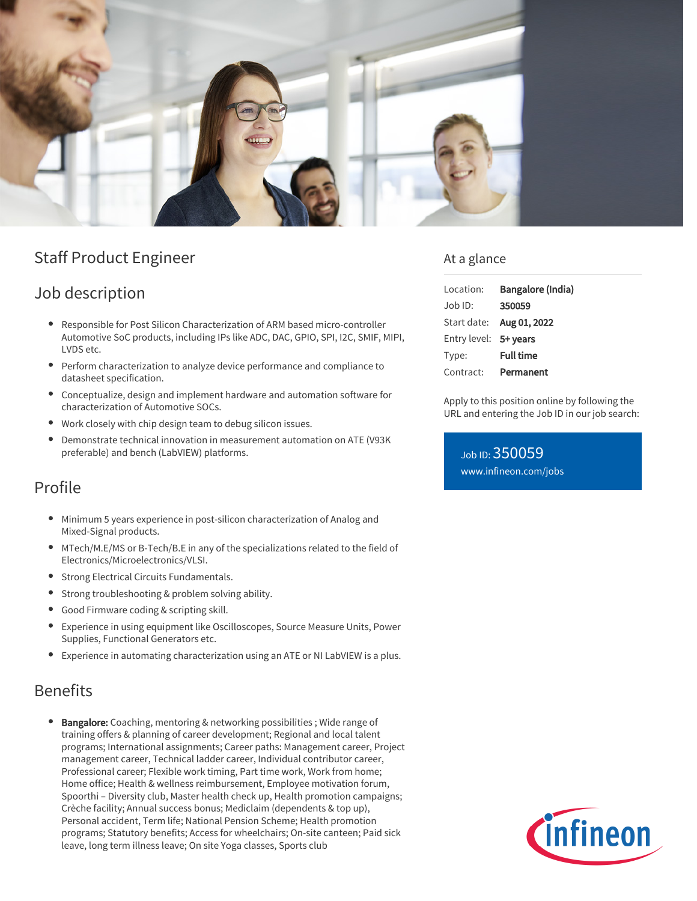

# Staff Product Engineer

## Job description

- $\bullet$ Responsible for Post Silicon Characterization of ARM based micro-controller Automotive SoC products, including IPs like ADC, DAC, GPIO, SPI, I2C, SMIF, MIPI, LVDS etc.
- Perform characterization to analyze device performance and compliance to datasheet specification.
- Conceptualize, design and implement hardware and automation software for characterization of Automotive SOCs.
- Work closely with chip design team to debug silicon issues.
- Demonstrate technical innovation in measurement automation on ATE (V93K preferable) and bench (LabVIEW) platforms.

## Profile

- Minimum 5 years experience in post-silicon characterization of Analog and Mixed-Signal products.
- MTech/M.E/MS or B-Tech/B.E in any of the specializations related to the field of Electronics/Microelectronics/VLSI.
- **•** Strong Electrical Circuits Fundamentals.
- Strong troubleshooting & problem solving ability.
- Good Firmware coding & scripting skill.
- Experience in using equipment like Oscilloscopes, Source Measure Units, Power Supplies, Functional Generators etc.
- Experience in automating characterization using an ATE or NI LabVIEW is a plus.

## Benefits

Bangalore: Coaching, mentoring & networking possibilities ; Wide range of training offers & planning of career development; Regional and local talent programs; International assignments; Career paths: Management career, Project management career, Technical ladder career, Individual contributor career, Professional career; Flexible work timing, Part time work, Work from home; Home office; Health & wellness reimbursement, Employee motivation forum, Spoorthi – Diversity club, Master health check up, Health promotion campaigns; Crèche facility; Annual success bonus; Mediclaim (dependents & top up), Personal accident, Term life; National Pension Scheme; Health promotion programs; Statutory benefits; Access for wheelchairs; On-site canteen; Paid sick leave, long term illness leave; On site Yoga classes, Sports club

### At a glance

| Location:             | Bangalore (India)        |
|-----------------------|--------------------------|
| Job ID:               | 350059                   |
|                       | Start date: Aug 01, 2022 |
| Entry level: 5+ years |                          |
| Type:                 | <b>Full time</b>         |
| Contract:             | Permanent                |

Apply to this position online by following the URL and entering the Job ID in our job search:

Job ID: 350059 [www.infineon.com/jobs](https://www.infineon.com/jobs)